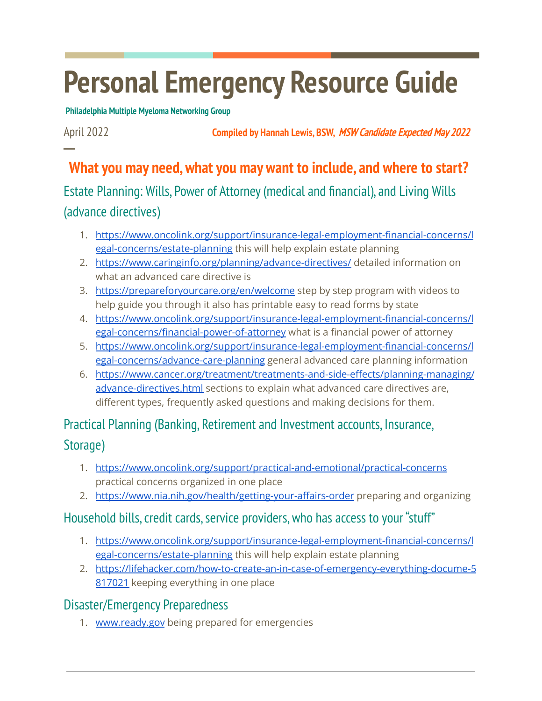# **Personal Emergency Resource Guide**

**Philadelphia Multiple Myeloma Networking Group**

**─**

April 2022 **Compiled by Hannah Lewis, BSW,** MSW Candidate Expected May <sup>2022</sup>

## **What you may need,what you may want to include, and where to start?**

## Estate Planning: Wills, Power of Attorney(medical and financial), and Living Wills (advance directives)

- 1. [https://www.oncolink.org/support/insurance-legal-employment-financial-concerns/l](https://www.oncolink.org/support/insurance-legal-employment-financial-concerns/legal-concerns/estate-planning) [egal-concerns/estate-planning](https://www.oncolink.org/support/insurance-legal-employment-financial-concerns/legal-concerns/estate-planning) this will help explain estate planning
- 2. <https://www.caringinfo.org/planning/advance-directives/> detailed information on what an advanced care directive is
- 3. <https://prepareforyourcare.org/en/welcome> step by step program with videos to help guide you through it also has printable easy to read forms by state
- 4. [https://www.oncolink.org/support/insurance-legal-employment-financial-concerns/l](https://www.oncolink.org/support/insurance-legal-employment-financial-concerns/legal-concerns/financial-power-of-attorney) [egal-concerns/financial-power-of-attorney](https://www.oncolink.org/support/insurance-legal-employment-financial-concerns/legal-concerns/financial-power-of-attorney) what is a financial power of attorney
- 5. [https://www.oncolink.org/support/insurance-legal-employment-financial-concerns/l](https://www.oncolink.org/support/insurance-legal-employment-financial-concerns/legal-concerns/advance-care-planning) [egal-concerns/advance-care-planning](https://www.oncolink.org/support/insurance-legal-employment-financial-concerns/legal-concerns/advance-care-planning) general advanced care planning information
- 6. [https://www.cancer.org/treatment/treatments-and-side-effects/planning-managing/](https://www.cancer.org/treatment/treatments-and-side-effects/planning-managing/advance-directives.html) [advance-directives.html](https://www.cancer.org/treatment/treatments-and-side-effects/planning-managing/advance-directives.html) sections to explain what advanced care directives are, different types, frequently asked questions and making decisions for them.

## Practical Planning (Banking, Retirement and Investment accounts, Insurance, Storage)

- 1. <https://www.oncolink.org/support/practical-and-emotional/practical-concerns> practical concerns organized in one place
- 2. <https://www.nia.nih.gov/health/getting-your-affairs-order> preparing and organizing

### Household bills, credit cards, service providers, who has access to your "stuff"

- 1. [https://www.oncolink.org/support/insurance-legal-employment-financial-concerns/l](https://www.oncolink.org/support/insurance-legal-employment-financial-concerns/legal-concerns/estate-planning) [egal-concerns/estate-planning](https://www.oncolink.org/support/insurance-legal-employment-financial-concerns/legal-concerns/estate-planning) this will help explain estate planning
- 2. [https://lifehacker.com/how-to-create-an-in-case-of-emergency-everything-docume-5](https://lifehacker.com/how-to-create-an-in-case-of-emergency-everything-docume-5817021) [817021](https://lifehacker.com/how-to-create-an-in-case-of-emergency-everything-docume-5817021) keeping everything in one place

### Disaster/Emergency Preparedness

1. [www.ready.gov](http://www.ready.gov) being prepared for emergencies